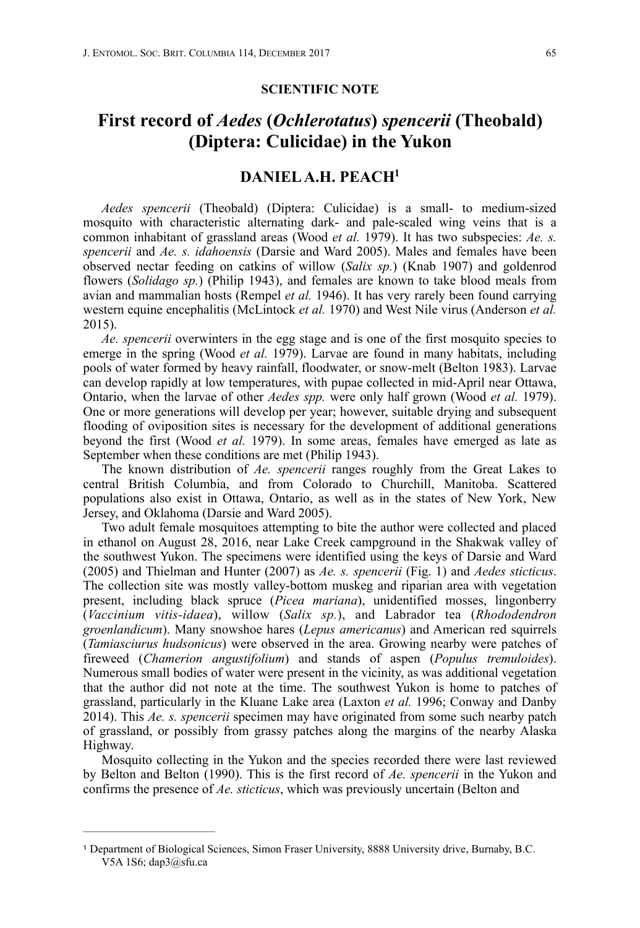## **SCIENTIFIC NOTE**

## **First record of** *Aedes* **(***Ochlerotatus***)** *spencerii* **(Theobald) (Diptera: Culicidae) in the Yukon**

## <span id="page-0-1"></span>**DANIEL A.H. PEAC[H1](#page-0-0)**

*Aedes spencerii* (Theobald) (Diptera: Culicidae) is a small- to medium-sized mosquito with characteristic alternating dark- and pale-scaled wing veins that is a common inhabitant of grassland areas (Wood *et al.* 1979). It has two subspecies: *Ae. s. spencerii* and *Ae. s. idahoensis* (Darsie and Ward 2005). Males and females have been observed nectar feeding on catkins of willow (*Salix sp.*) (Knab 1907) and goldenrod flowers (*Solidago sp.*) (Philip 1943), and females are known to take blood meals from avian and mammalian hosts (Rempel *et al.* 1946). It has very rarely been found carrying western equine encephalitis (McLintock *et al.* 1970) and West Nile virus (Anderson *et al.* 2015).

*Ae. spencerii* overwinters in the egg stage and is one of the first mosquito species to emerge in the spring (Wood *et al.* 1979). Larvae are found in many habitats, including pools of water formed by heavy rainfall, floodwater, or snow-melt (Belton 1983). Larvae can develop rapidly at low temperatures, with pupae collected in mid-April near Ottawa, Ontario, when the larvae of other *Aedes spp.* were only half grown (Wood *et al.* 1979). One or more generations will develop per year; however, suitable drying and subsequent flooding of oviposition sites is necessary for the development of additional generations beyond the first (Wood *et al.* 1979). In some areas, females have emerged as late as September when these conditions are met (Philip 1943).

The known distribution of *Ae. spencerii* ranges roughly from the Great Lakes to central British Columbia, and from Colorado to Churchill, Manitoba. Scattered populations also exist in Ottawa, Ontario, as well as in the states of New York, New Jersey, and Oklahoma (Darsie and Ward 2005).

Two adult female mosquitoes attempting to bite the author were collected and placed in ethanol on August 28, 2016, near Lake Creek campground in the Shakwak valley of the southwest Yukon. The specimens were identified using the keys of Darsie and Ward (2005) and Thielman and Hunter (2007) as *Ae. s. spencerii* (Fig. 1) and *Aedes sticticus*. The collection site was mostly valley-bottom muskeg and riparian area with vegetation present, including black spruce (*Picea mariana*), unidentified mosses, lingonberry (*Vaccinium vitis-idaea*), willow (*Salix sp.*), and Labrador tea (*Rhododendron groenlandicum*). Many snowshoe hares (*Lepus americanus*) and American red squirrels (*Tamiasciurus hudsonicus*) were observed in the area. Growing nearby were patches of fireweed (*Chamerion angustifolium*) and stands of aspen (*Populus tremuloides*). Numerous small bodies of water were present in the vicinity, as was additional vegetation that the author did not note at the time. The southwest Yukon is home to patches of grassland, particularly in the Kluane Lake area (Laxton *et al.* 1996; Conway and Danby 2014). This *Ae. s. spencerii* specimen may have originated from some such nearby patch of grassland, or possibly from grassy patches along the margins of the nearby Alaska Highway.

Mosquito collecting in the Yukon and the species recorded there were last reviewed by Belton and Belton (1990). This is the first record of *Ae. spencerii* in the Yukon and confirms the presence of *Ae. sticticus*, which was previously uncertain (Belton and

<span id="page-0-0"></span>Department of Biological Sciences, Simon Fraser University, 8888 University drive, Burnaby, B.C. [1](#page-0-1) V5A 1S6; dap3@sfu.ca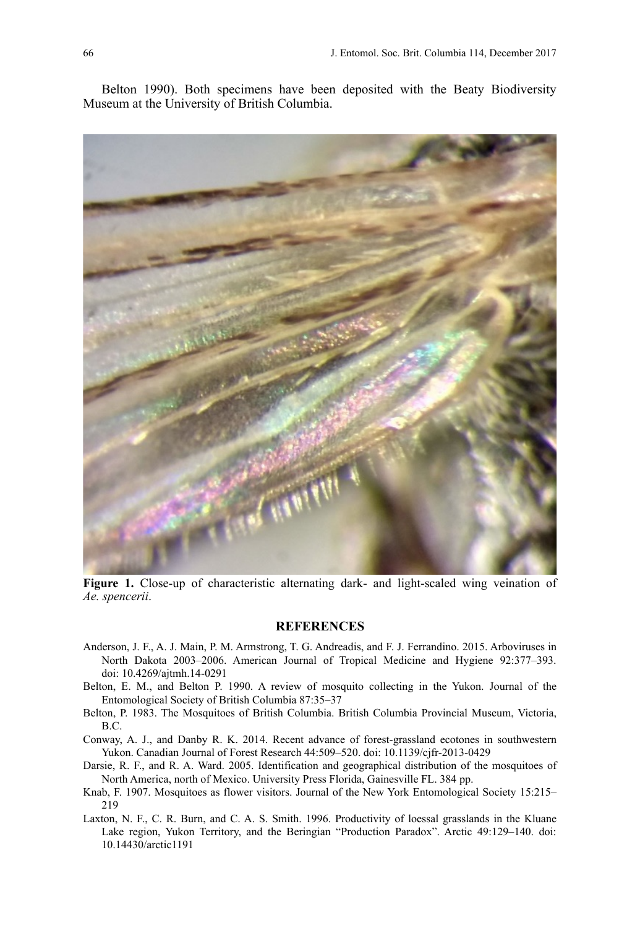Belton 1990). Both specimens have been deposited with the Beaty Biodiversity Museum at the University of British Columbia.



**Figure 1.** Close-up of characteristic alternating dark- and light-scaled wing veination of *Ae. spencerii*.

## **REFERENCES**

- Anderson, J. F., A. J. Main, P. M. Armstrong, T. G. Andreadis, and F. J. Ferrandino. 2015. Arboviruses in North Dakota 2003–2006. American Journal of Tropical Medicine and Hygiene 92:377–393. doi: 10.4269/ajtmh.14-0291
- Belton, E. M., and Belton P. 1990. A review of mosquito collecting in the Yukon. Journal of the Entomological Society of British Columbia 87:35–37
- Belton, P. 1983. The Mosquitoes of British Columbia. British Columbia Provincial Museum, Victoria, B.C.
- Conway, A. J., and Danby R. K. 2014. Recent advance of forest-grassland ecotones in southwestern Yukon. Canadian Journal of Forest Research 44:509–520. doi: 10.1139/cjfr-2013-0429
- Darsie, R. F., and R. A. Ward. 2005. Identification and geographical distribution of the mosquitoes of North America, north of Mexico. University Press Florida, Gainesville FL. 384 pp.
- Knab, F. 1907. Mosquitoes as flower visitors. Journal of the New York Entomological Society 15:215– 219
- Laxton, N. F., C. R. Burn, and C. A. S. Smith. 1996. Productivity of loessal grasslands in the Kluane Lake region, Yukon Territory, and the Beringian "Production Paradox". Arctic 49:129–140. doi: [10.14430/arctic1191](http://dx.doi.org/10.14430/arctic1191)